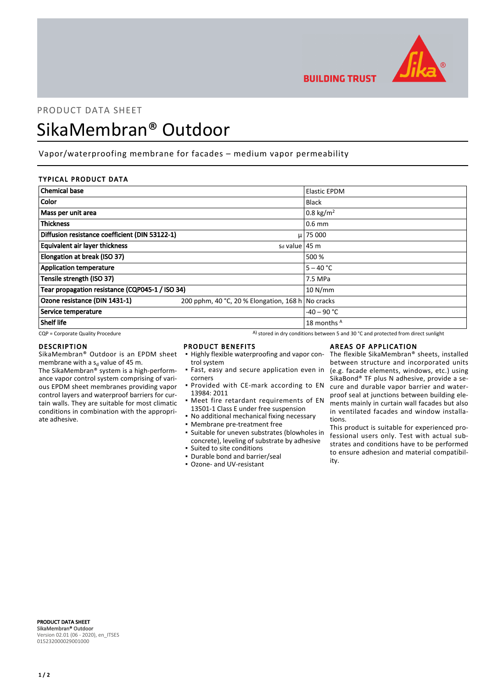

**BUILDING TRUST** 

## PRODUCT DATA SHEET

# SikaMembran® Outdoor

Vapor/waterproofing membrane for facades – medium vapor permeability

### TYPICAL PRODUCT DATA

| <b>Chemical base</b>                            |                                                   | <b>Elastic EPDM</b>   |
|-------------------------------------------------|---------------------------------------------------|-----------------------|
| <b>Color</b>                                    |                                                   | <b>Black</b>          |
| Mass per unit area                              |                                                   | 0.8 kg/m <sup>2</sup> |
| <b>Thickness</b>                                |                                                   | $0.6$ mm              |
| Diffusion resistance coefficient (DIN 53122-1)  |                                                   | $\mu$   75 000        |
| Equivalent air layer thickness                  | $sd$ value   45 m                                 |                       |
| Elongation at break (ISO 37)                    |                                                   | 500 %                 |
| <b>Application temperature</b>                  |                                                   | $5 - 40 °C$           |
| Tensile strength (ISO 37)                       |                                                   | 7.5 MPa               |
| Tear propagation resistance (CQP045-1 / ISO 34) |                                                   | 10 N/mm               |
| Ozone resistance (DIN 1431-1)                   | 200 pphm, 40 °C, 20 % Elongation, 168 h No cracks |                       |
| Service temperature                             |                                                   | $-40 - 90$ °C         |
| Shelf life                                      |                                                   | 18 months A           |

 $CQP$  = Corporate Quality Procedure  $A)$  stored in dry conditions between 5 and 30 °C and protected from direct sunlight

#### DESCRIPTION

SikaMembran® Outdoor is an EPDM sheet membrane with a s<sub>d</sub> value of 45 m. The SikaMembran® system is a high-performance vapor control system comprising of various EPDM sheet membranes providing vapor control layers and waterproof barriers for curtain walls. They are suitable for most climatic conditions in combination with the appropriate adhesive.

#### PRODUCT BENEFITS

- **.** Highly flexible waterproofing and vapor control system
- **·** Fast, easy and secure application even in corners
- **Provided with CE-mark according to EN** 13984: 2011
- **•** Meet fire retardant requirements of EN 13501-1 Class E under free suspension
- No additional mechanical fixing necessary
- Membrane pre-treatment free
- Suitable for uneven substrates (blowholes in concrete), leveling of substrate by adhesive
- Suited to site conditions ▪ Durable bond and barrier/seal
- Ozone- and UV-resistant

## AREAS OF APPLICATION

The flexible SikaMembran® sheets, installed between structure and incorporated units (e.g. facade elements, windows, etc.) using SikaBond® TF plus N adhesive, provide a secure and durable vapor barrier and waterproof seal at junctions between building elements mainly in curtain wall facades but also in ventilated facades and window installations.

This product is suitable for experienced professional users only. Test with actual substrates and conditions have to be performed to ensure adhesion and material compatibility.

PRODUCT DATA SHEET SikaMembran® Outdoor Version 02.01 (06 - 2020), en\_ITSES 015232000029001000